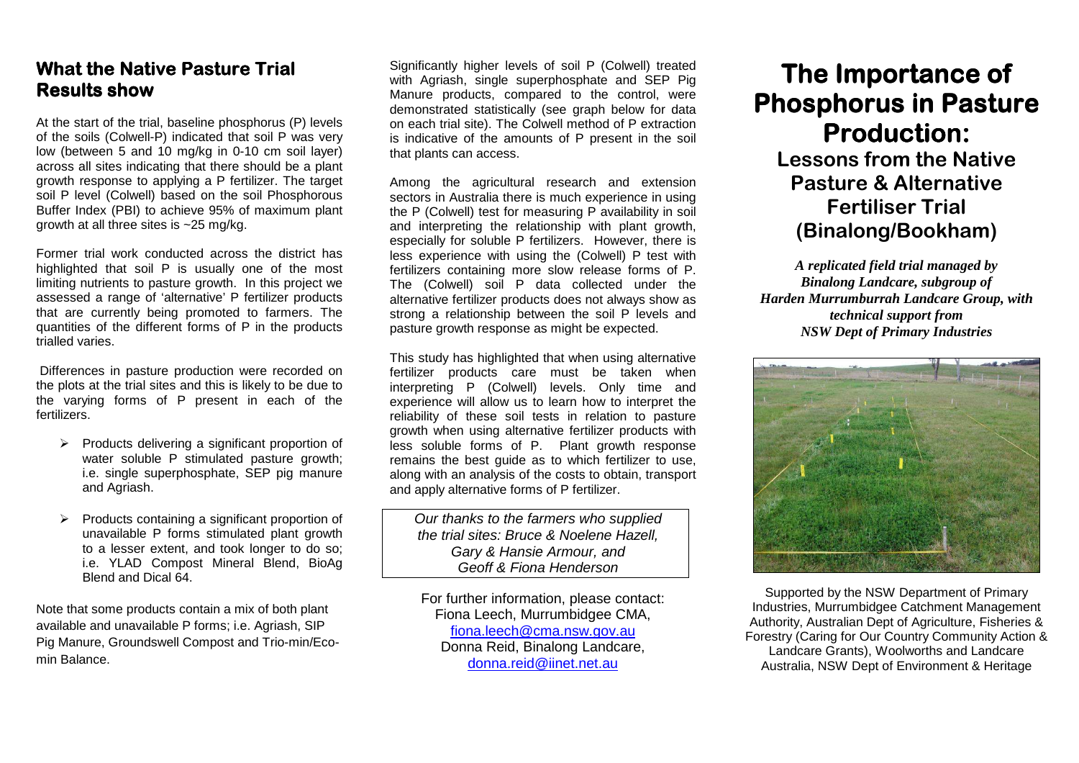## **What the Native Pasture Trial Results show Results show**

At the start of the trial, baseline phosphorus (P) levels of the soils (Colwell-P) indicated that soil P was very low (between 5 and 10 mg/kg in 0-10 cm soil layer) across all sites indicating that there should be a plant growth response to applying a P fertilizer. The target soil P level (Colwell) based on the soil Phosphorous Buffer Index (PBI) to achieve 95% of maximum plant growth at all three sites is ~25 mg/kg.

Former trial work conducted across the district has highlighted that soil P is usually one of the most limiting nutrients to pasture growth. In this project we assessed a range of 'alternative' P fertilizer products that are currently being promoted to farmers. The quantities of the different forms of P in the products trialled varies.

 Differences in pasture production were recorded on the plots at the trial sites and this is likely to be due to the varying forms of P present in each of the fertilizers.

- $\triangleright$  Products delivering a significant proportion of water soluble P stimulated pasture growth; i.e. single superphosphate, SEP pig manure and Agriash.
- Products containing a significant proportion of unavailable P forms stimulated plant growth to a lesser extent, and took longer to do so; i.e. YLAD Compost Mineral Blend, BioAg Blend and Dical 64.

Note that some products contain a mix of both plant available and unavailable P forms; i.e. Agriash, SIP Pig Manure, Groundswell Compost and Trio-min/Ecomin Balance.

Significantly higher levels of soil P (Colwell) treated with Agriash, single superphosphate and SEP Pig Manure products, compared to the control, were demonstrated statistically (see graph below for data on each trial site). The Colwell method of P extraction is indicative of the amounts of P present in the soil that plants can access.

Among the agricultural research and extension sectors in Australia there is much experience in using the P (Colwell) test for measuring P availability in soil and interpreting the relationship with plant growth, especially for soluble P fertilizers. However, there is less experience with using the (Colwell) P test with fertilizers containing more slow release forms of P. The (Colwell) soil P data collected under the alternative fertilizer products does not always show as strong a relationship between the soil P levels andpasture growth response as might be expected.

This study has highlighted that when using alternative fertilizer products care must be taken when interpreting P (Colwell) levels. Only time and experience will allow us to learn how to interpret the reliability of these soil tests in relation to pasture growth when using alternative fertilizer products with less soluble forms of P. Plant growth response remains the best guide as to which fertilizer to use, along with an analysis of the costs to obtain, transport and apply alternative forms of P fertilizer.

Our thanks to the farmers who supplied the trial sites: Bruce & Noelene Hazell, Gary & Hansie Armour, and Geoff & Fiona Henderson

For further information, please contact: Fiona Leech, Murrumbidgee CMA, fiona.leech@cma.nsw.gov.au Donna Reid, Binalong Landcare, donna.reid@iinet.net.au

## **The Importance of Phosphorus in Pasture Production: Production: Lessons from the Native Pasture & Alternative Fertiliser Trial (Binalong/Bookham)**

*A replicated field trial managed by Binalong Landcare, subgroup of Harden Murrumburrah Landcare Group, with technical support from NSW Dept of Primary Industries* 



Supported by the NSW Department of Primary Industries, Murrumbidgee Catchment Management Authority, Australian Dept of Agriculture, Fisheries & Forestry (Caring for Our Country Community Action &Landcare Grants), Woolworths and Landcare Australia, NSW Dept of Environment & Heritage